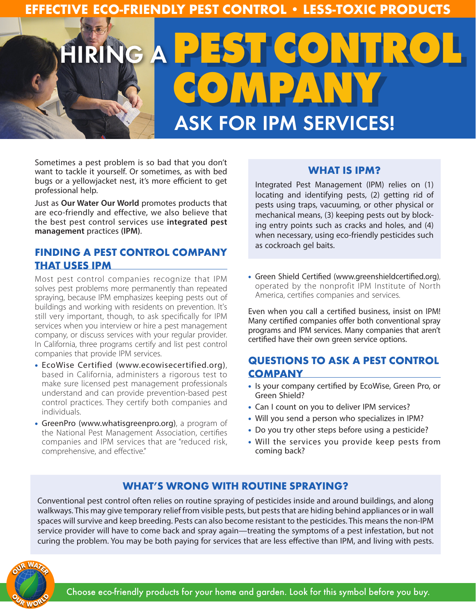## **EFFECTIVE ECO-FRIENDLY PEST CONTROL • LESS-TOXIC PRODUCTS**

# HIRING A **PEST CONTROL COMPANY** ASK FOR IPM SERVICES!

Sometimes a pest problem is so bad that you don't want to tackle it yourself. Or sometimes, as with bed bugs or a yellowjacket nest, it's more efficient to get professional help.

Just as **Our Water Our World** promotes products that are eco-friendly and effective, we also believe that the best pest control services use **integrated pest management** practices **(IPM)**.

## **FINDING A PEST CONTROL COMPANY THAT USES IPM**

Most pest control companies recognize that IPM solves pest problems more permanently than repeated spraying, because IPM emphasizes keeping pests out of buildings and working with residents on prevention. It's still very important, though, to ask specifically for IPM services when you interview or hire a pest management company, or discuss services with your regular provider. In California, three programs certify and list pest control companies that provide IPM services.

- EcoWise Certified (www.ecowisecertified.org), based in California, administers a rigorous test to make sure licensed pest management professionals understand and can provide prevention-based pest control practices. They certify both companies and individuals.
- GreenPro (www.whatisgreenpro.org), a program of the National Pest Management Association, certifies companies and IPM services that are "reduced risk, comprehensive, and effective."

#### **WHAT IS IPM?**

Integrated Pest Management (IPM) relies on (1) locating and identifying pests, (2) getting rid of pests using traps, vacuuming, or other physical or mechanical means, (3) keeping pests out by blocking entry points such as cracks and holes, and (4) when necessary, using eco-friendly pesticides such as cockroach gel baits.

• Green Shield Certified (www.greenshieldcertified.org), operated by the nonprofit IPM Institute of North America, certifies companies and services.

Even when you call a certified business, insist on IPM! Many certified companies offer both conventional spray programs and IPM services. Many companies that aren't certified have their own green service options.

## **QUESTIONS TO ASK A PEST CONTROL COMPANY**

- Is your company certified by EcoWise, Green Pro, or Green Shield?
- Can I count on you to deliver IPM services?
- Will you send a person who specializes in IPM?
- Do you try other steps before using a pesticide?
- Will the services you provide keep pests from coming back?

## **WHAT'S WRONG WITH ROUTINE SPRAYING?**

Conventional pest control often relies on routine spraying of pesticides inside and around buildings, and along walkways. This may give temporary relief from visible pests, but pests that are hiding behind appliances or in wall spaces will survive and keep breeding. Pests can also become resistant to the pesticides. This means the non-IPM service provider will have to come back and spray again—treating the symptoms of a pest infestation, but not curing the problem. You may be both paying for services that are less effective than IPM, and living with pests.